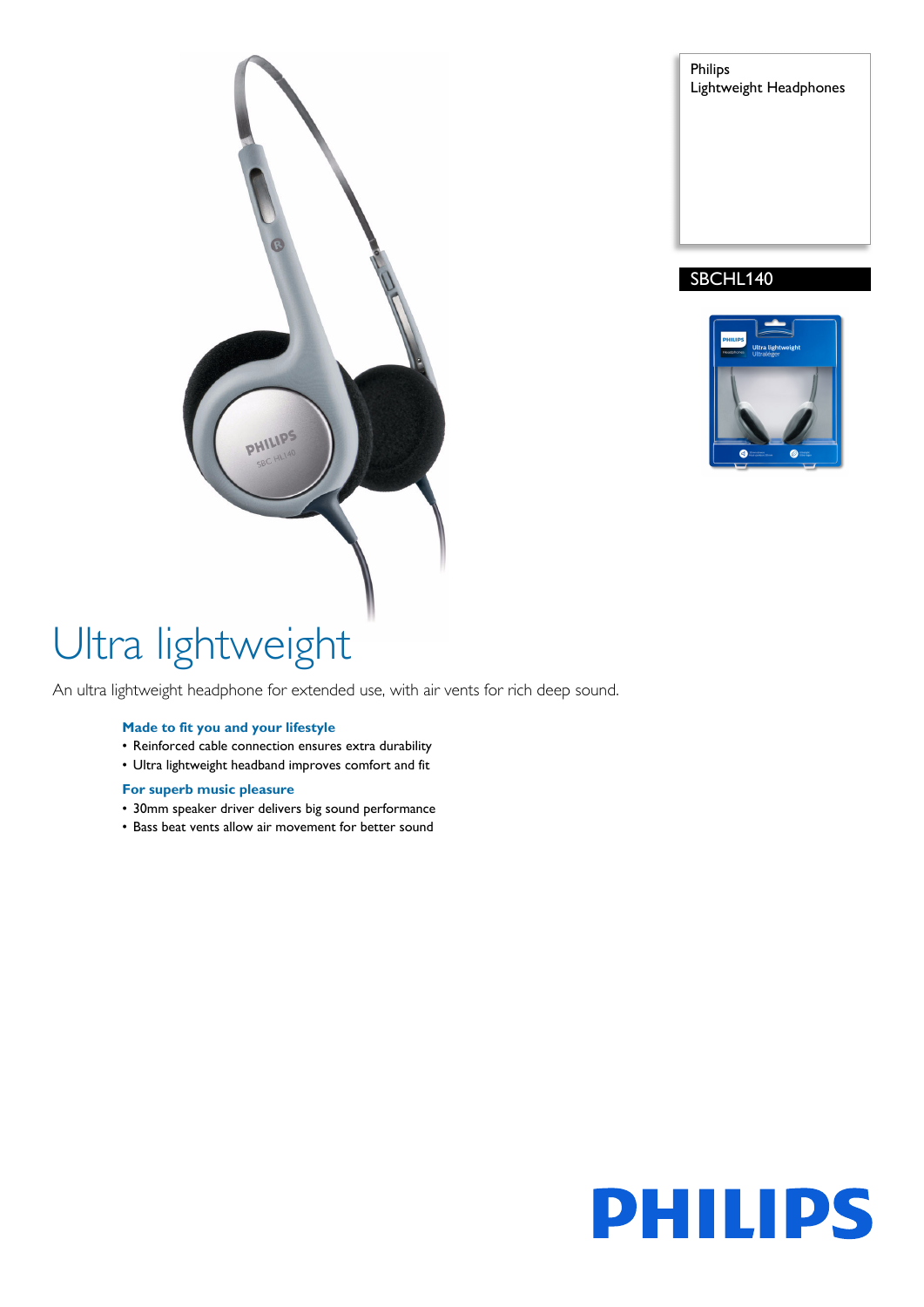Philips Lightweight Headphones

### SBCHL140





# Ultra lightweight

An ultra lightweight headphone for extended use, with air vents for rich deep sound.

#### **Made to fit you and your lifestyle**

- Reinforced cable connection ensures extra durability
- Ultra lightweight headband improves comfort and fit

#### **For superb music pleasure**

- 30mm speaker driver delivers big sound performance
- Bass beat vents allow air movement for better sound